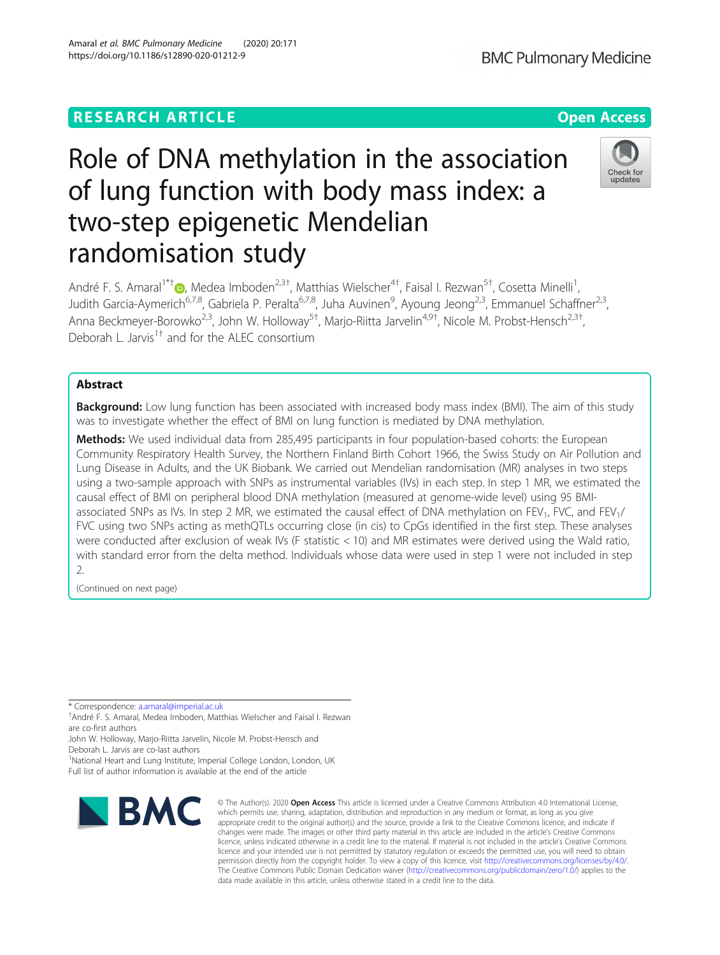# **RESEARCH ARTICLE Example 2014 12:30 The Contract of Contract ACCESS**

# Role of DNA methylation in the association of lung function with body mass index: a two-step epigenetic Mendelian randomisation study

André F. S. Amaral<sup>1\*[†](http://orcid.org/0000-0002-0369-9449)</sup>®, Medea Imboden<sup>2,3†</sup>, Matthias Wielscher<sup>4†</sup>, Faisal I. Rezwan<sup>5†</sup>, Cosetta Minelli<sup>1</sup> , Judith Garcia-Aymerich<sup>6,7,8</sup>, Gabriela P. Peralta<sup>6,7,8</sup>, Juha Auvinen<sup>9</sup>, Ayoung Jeong<sup>2,3</sup>, Emmanuel Schaffner<sup>2,3</sup>, Anna Beckmeyer-Borowko<sup>2,3</sup>, John W. Holloway<sup>5†</sup>, Marjo-Riitta Jarvelin<sup>4,9†</sup>, Nicole M. Probst-Hensch<sup>2,3†</sup> , Deborah L. Jarvis<sup>1†</sup> and for the ALEC consortium

# Abstract

Background: Low lung function has been associated with increased body mass index (BMI). The aim of this study was to investigate whether the effect of BMI on lung function is mediated by DNA methylation.

**Methods:** We used individual data from 285,495 participants in four population-based cohorts: the European Community Respiratory Health Survey, the Northern Finland Birth Cohort 1966, the Swiss Study on Air Pollution and Lung Disease in Adults, and the UK Biobank. We carried out Mendelian randomisation (MR) analyses in two steps using a two-sample approach with SNPs as instrumental variables (IVs) in each step. In step 1 MR, we estimated the causal effect of BMI on peripheral blood DNA methylation (measured at genome-wide level) using 95 BMIassociated SNPs as IVs. In step 2 MR, we estimated the causal effect of DNA methylation on FEV<sub>1</sub>, FVC, and FEV<sub>1</sub>/ FVC using two SNPs acting as methQTLs occurring close (in cis) to CpGs identified in the first step. These analyses were conducted after exclusion of weak IVs (F statistic < 10) and MR estimates were derived using the Wald ratio, with standard error from the delta method. Individuals whose data were used in step 1 were not included in step 2.

(Continued on next page)

\* Correspondence: [a.amaral@imperial.ac.uk](mailto:a.amaral@imperial.ac.uk) †

André F. S. Amaral, Medea Imboden, Matthias Wielscher and Faisal I. Rezwan are co-first authors

John W. Holloway, Marjo-Riitta Jarvelin, Nicole M. Probst-Hensch and Deborah L. Jarvis are co-last authors

<sup>1</sup>National Heart and Lung Institute, Imperial College London, London, UK Full list of author information is available at the end of the article



<sup>©</sup> The Author(s), 2020 **Open Access** This article is licensed under a Creative Commons Attribution 4.0 International License, which permits use, sharing, adaptation, distribution and reproduction in any medium or format, as long as you give appropriate credit to the original author(s) and the source, provide a link to the Creative Commons licence, and indicate if changes were made. The images or other third party material in this article are included in the article's Creative Commons licence, unless indicated otherwise in a credit line to the material. If material is not included in the article's Creative Commons licence and your intended use is not permitted by statutory regulation or exceeds the permitted use, you will need to obtain permission directly from the copyright holder. To view a copy of this licence, visit [http://creativecommons.org/licenses/by/4.0/.](http://creativecommons.org/licenses/by/4.0/) The Creative Commons Public Domain Dedication waiver [\(http://creativecommons.org/publicdomain/zero/1.0/](http://creativecommons.org/publicdomain/zero/1.0/)) applies to the data made available in this article, unless otherwise stated in a credit line to the data.

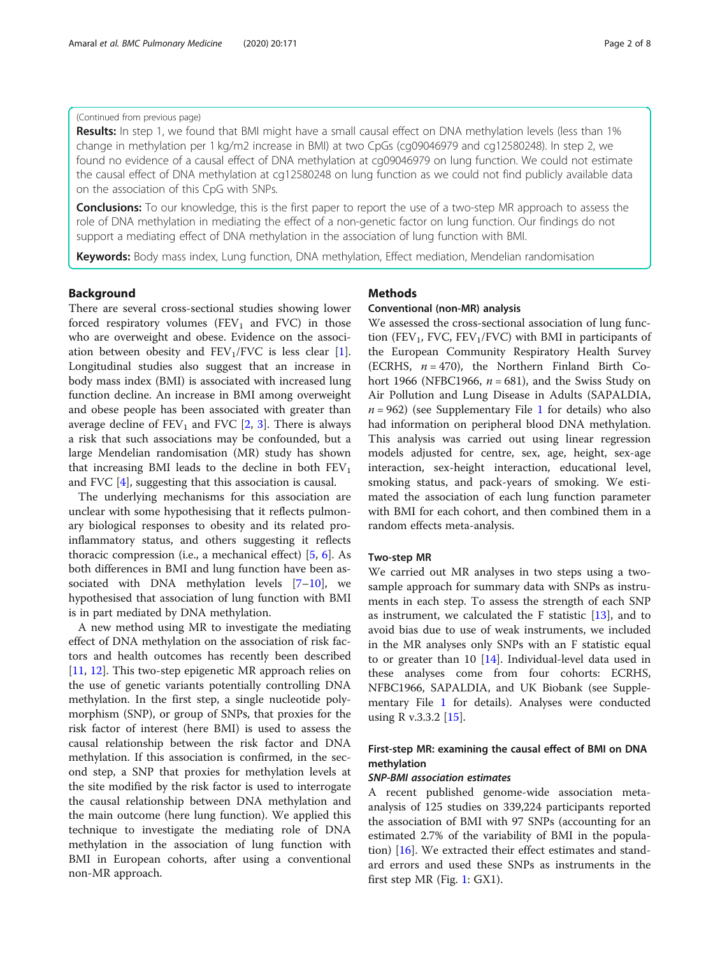### (Continued from previous page)

Results: In step 1, we found that BMI might have a small causal effect on DNA methylation levels (less than 1% change in methylation per 1 kg/m2 increase in BMI) at two CpGs (cg09046979 and cg12580248). In step 2, we found no evidence of a causal effect of DNA methylation at cg09046979 on lung function. We could not estimate the causal effect of DNA methylation at cg12580248 on lung function as we could not find publicly available data on the association of this CpG with SNPs.

**Conclusions:** To our knowledge, this is the first paper to report the use of a two-step MR approach to assess the role of DNA methylation in mediating the effect of a non-genetic factor on lung function. Our findings do not support a mediating effect of DNA methylation in the association of lung function with BMI.

Keywords: Body mass index, Lung function, DNA methylation, Effect mediation, Mendelian randomisation

# Background

There are several cross-sectional studies showing lower forced respiratory volumes  $(FEV<sub>1</sub>$  and FVC) in those who are overweight and obese. Evidence on the association between obesity and  $FEV_1/FVC$  is less clear [\[1](#page-6-0)]. Longitudinal studies also suggest that an increase in body mass index (BMI) is associated with increased lung function decline. An increase in BMI among overweight and obese people has been associated with greater than average decline of  $FEV_1$  and  $FVC$  [\[2](#page-6-0), [3\]](#page-6-0). There is always a risk that such associations may be confounded, but a large Mendelian randomisation (MR) study has shown that increasing BMI leads to the decline in both  $FEV<sub>1</sub>$ and FVC [\[4](#page-6-0)], suggesting that this association is causal.

The underlying mechanisms for this association are unclear with some hypothesising that it reflects pulmonary biological responses to obesity and its related proinflammatory status, and others suggesting it reflects thoracic compression (i.e., a mechanical effect) [\[5](#page-6-0), [6](#page-6-0)]. As both differences in BMI and lung function have been associated with DNA methylation levels  $[7-10]$  $[7-10]$  $[7-10]$  $[7-10]$ , we hypothesised that association of lung function with BMI is in part mediated by DNA methylation.

A new method using MR to investigate the mediating effect of DNA methylation on the association of risk factors and health outcomes has recently been described [[11,](#page-6-0) [12\]](#page-6-0). This two-step epigenetic MR approach relies on the use of genetic variants potentially controlling DNA methylation. In the first step, a single nucleotide polymorphism (SNP), or group of SNPs, that proxies for the risk factor of interest (here BMI) is used to assess the causal relationship between the risk factor and DNA methylation. If this association is confirmed, in the second step, a SNP that proxies for methylation levels at the site modified by the risk factor is used to interrogate the causal relationship between DNA methylation and the main outcome (here lung function). We applied this technique to investigate the mediating role of DNA methylation in the association of lung function with BMI in European cohorts, after using a conventional non-MR approach.

### Methods

#### Conventional (non-MR) analysis

We assessed the cross-sectional association of lung function (FEV<sub>1</sub>, FVC, FEV<sub>1</sub>/FVC) with BMI in participants of the European Community Respiratory Health Survey (ECRHS,  $n = 470$ ), the Northern Finland Birth Cohort 1966 (NFBC1966,  $n = 681$ ), and the Swiss Study on Air Pollution and Lung Disease in Adults (SAPALDIA,  $n = 962$ ) (see Supplementary File [1](#page-5-0) for details) who also had information on peripheral blood DNA methylation. This analysis was carried out using linear regression models adjusted for centre, sex, age, height, sex-age interaction, sex-height interaction, educational level, smoking status, and pack-years of smoking. We estimated the association of each lung function parameter with BMI for each cohort, and then combined them in a random effects meta-analysis.

### Two-step MR

We carried out MR analyses in two steps using a twosample approach for summary data with SNPs as instruments in each step. To assess the strength of each SNP as instrument, we calculated the  $F$  statistic  $[13]$  $[13]$ , and to avoid bias due to use of weak instruments, we included in the MR analyses only SNPs with an F statistic equal to or greater than 10  $[14]$  $[14]$ . Individual-level data used in these analyses come from four cohorts: ECRHS, NFBC1966, SAPALDIA, and UK Biobank (see Supplementary File [1](#page-5-0) for details). Analyses were conducted using R v.3.3.2 [\[15](#page-6-0)].

# First-step MR: examining the causal effect of BMI on DNA methylation

A recent published genome-wide association metaanalysis of 125 studies on 339,224 participants reported the association of BMI with 97 SNPs (accounting for an estimated 2.7% of the variability of BMI in the population) [\[16](#page-6-0)]. We extracted their effect estimates and standard errors and used these SNPs as instruments in the first step MR (Fig. [1:](#page-2-0) GX1).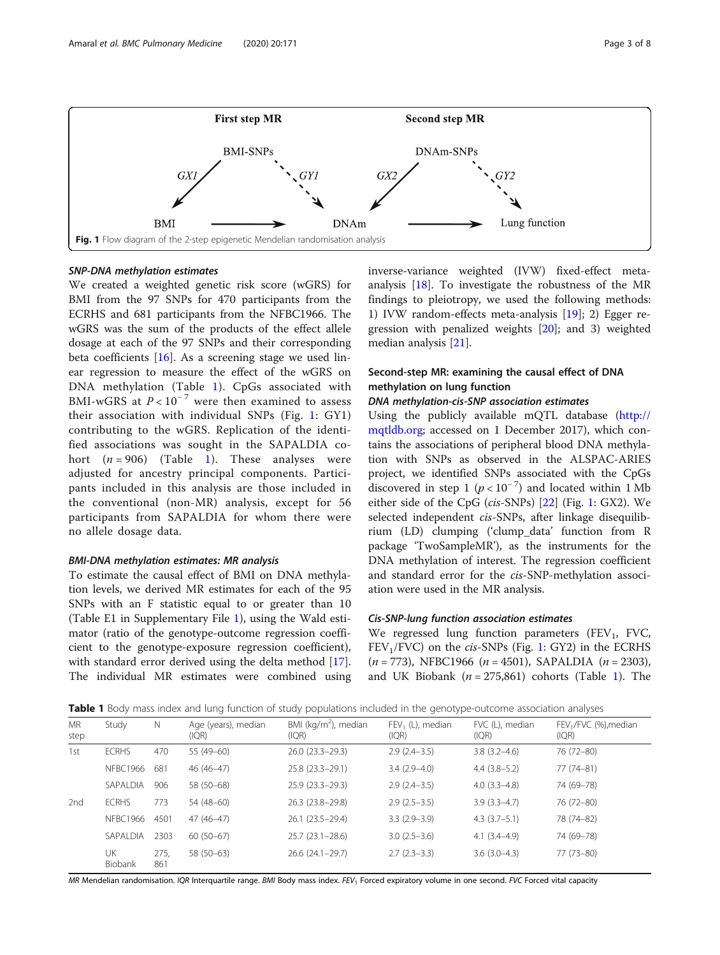<span id="page-2-0"></span>

We created a weighted genetic risk score (wGRS) for BMI from the 97 SNPs for 470 participants from the ECRHS and 681 participants from the NFBC1966. The wGRS was the sum of the products of the effect allele dosage at each of the 97 SNPs and their corresponding beta coefficients  $[16]$  $[16]$ . As a screening stage we used linear regression to measure the effect of the wGRS on DNA methylation (Table 1). CpGs associated with BMI-wGRS at  $P < 10^{-7}$  were then examined to assess their association with individual SNPs (Fig. 1: GY1) contributing to the wGRS. Replication of the identified associations was sought in the SAPALDIA cohort  $(n = 906)$  (Table 1). These analyses were adjusted for ancestry principal components. Participants included in this analysis are those included in the conventional (non-MR) analysis, except for 56 participants from SAPALDIA for whom there were no allele dosage data.

To estimate the causal effect of BMI on DNA methylation levels, we derived MR estimates for each of the 95 SNPs with an F statistic equal to or greater than 10 (Table E1 in Supplementary File [1](#page-5-0)), using the Wald estimator (ratio of the genotype-outcome regression coefficient to the genotype-exposure regression coefficient), with standard error derived using the delta method [\[17](#page-7-0)]. The individual MR estimates were combined using inverse-variance weighted (IVW) fixed-effect metaanalysis [[18\]](#page-7-0). To investigate the robustness of the MR findings to pleiotropy, we used the following methods: 1) IVW random-effects meta-analysis [[19](#page-7-0)]; 2) Egger regression with penalized weights [[20](#page-7-0)]; and 3) weighted median analysis [\[21](#page-7-0)].

# Second-step MR: examining the causal effect of DNA methylation on lung function

Using the publicly available mQTL database [\(http://](http://mqtldb.org) [mqtldb.org;](http://mqtldb.org) accessed on 1 December 2017), which contains the associations of peripheral blood DNA methylation with SNPs as observed in the ALSPAC-ARIES project, we identified SNPs associated with the CpGs discovered in step 1  $(p < 10^{-7})$  and located within 1 Mb either side of the CpG (cis-SNPs) [\[22\]](#page-7-0) (Fig. 1: GX2). We selected independent cis-SNPs, after linkage disequilibrium (LD) clumping ('clump\_data' function from R package 'TwoSampleMR'), as the instruments for the DNA methylation of interest. The regression coefficient and standard error for the cis-SNP-methylation association were used in the MR analysis.

We regressed lung function parameters (FEV<sub>1</sub>, FVC,  $FEV<sub>1</sub>/FVC$ ) on the *cis-SNPs* (Fig. 1: GY2) in the ECRHS  $(n = 773)$ , NFBC1966  $(n = 4501)$ , SAPALDIA  $(n = 2303)$ , and UK Biobank ( $n = 275,861$ ) cohorts (Table 1). The

Table 1 Body mass index and lung function of study populations included in the genotype-outcome association analyses

|                   |                 |             | $\tilde{\phantom{a}}$        | $\sim$ $\sim$ $\sim$                     | $\sim$                      |                          |                                            |
|-------------------|-----------------|-------------|------------------------------|------------------------------------------|-----------------------------|--------------------------|--------------------------------------------|
| <b>MR</b><br>step | Study           | Ν           | Age (years), median<br>(IQR) | BMI ( $\text{kg/m}^2$ ), median<br>(IQR) | $FEV1$ (L), median<br>(IQR) | FVC (L), median<br>(IQR) | FEV <sub>1</sub> /FVC (%), median<br>I(QR) |
| 1st               | <b>ECRHS</b>    | 470         | 55 (49-60)                   | 26.0 (23.3-29.3)                         | $2.9(2.4-3.5)$              | $3.8(3.2 - 4.6)$         | 76 (72-80)                                 |
|                   | <b>NFBC1966</b> | 681         | 46 (46-47)                   | 25.8 (23.3-29.1)                         | $3.4(2.9-4.0)$              | $4.4(3.8-5.2)$           | 77 (74-81)                                 |
|                   | SAPALDIA        | 906         | 58 (50-68)                   | $25.9(23.3 - 29.3)$                      | $2.9(2.4-3.5)$              | $4.0(3.3-4.8)$           | 74 (69-78)                                 |
| 2nd               | <b>ECRHS</b>    | 773         | 54 (48-60)                   | 26.3 (23.8-29.8)                         | $2.9(2.5-3.5)$              | $3.9(3.3-4.7)$           | 76 (72-80)                                 |
|                   | <b>NFBC1966</b> | 4501        | $47(46-47)$                  | 26.1 (23.5-29.4)                         | $3.3(2.9-3.9)$              | $4.3(3.7-5.1)$           | 78 (74-82)                                 |
|                   | SAPALDIA        | 2303        | $60(50-67)$                  | $25.7(23.1 - 28.6)$                      | $3.0(2.5-3.6)$              | $4.1(3.4-4.9)$           | 74 (69-78)                                 |
|                   | UK<br>Biobank   | 275,<br>861 | 58 (50-63)                   | 26.6 (24.1-29.7)                         | $2.7(2.3-3.3)$              | $3.6(3.0-4.3)$           | 77 (73-80)                                 |

MR Mendelian randomisation. IQR Interquartile range. BMI Body mass index. FEV<sub>1</sub> Forced expiratory volume in one second. FVC Forced vital capacity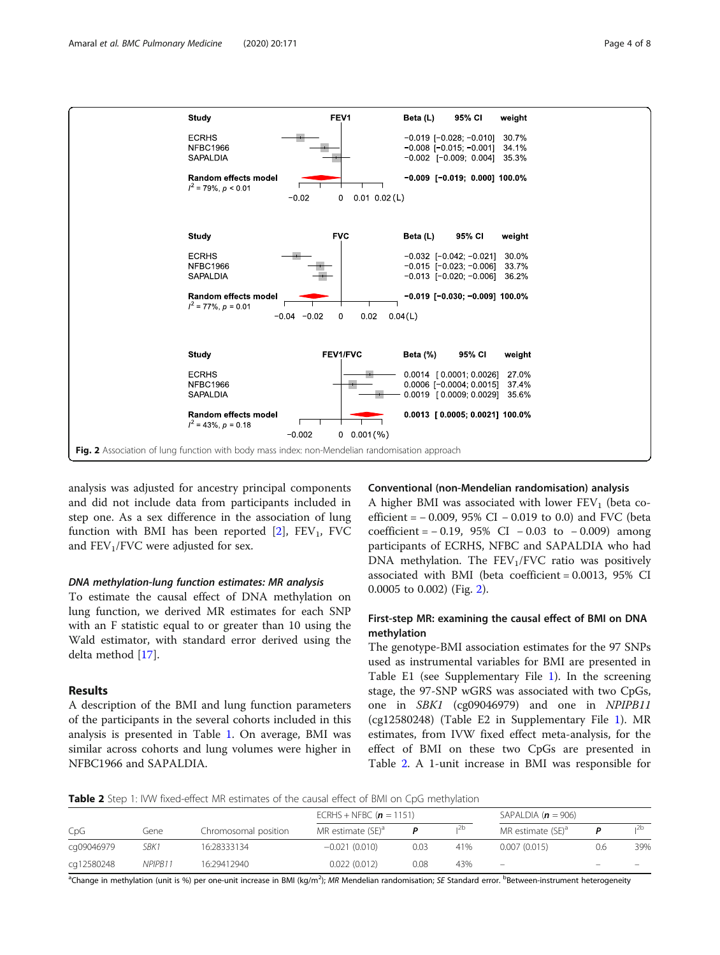

analysis was adjusted for ancestry principal components and did not include data from participants included in step one. As a sex difference in the association of lung function with BMI has been reported  $[2]$  $[2]$ , FEV<sub>1</sub>, FVC and  $FEV<sub>1</sub>/FVC$  were adjusted for sex.

To estimate the causal effect of DNA methylation on lung function, we derived MR estimates for each SNP with an F statistic equal to or greater than 10 using the Wald estimator, with standard error derived using the delta method [[17\]](#page-7-0).

# Results

A description of the BMI and lung function parameters of the participants in the several cohorts included in this analysis is presented in Table [1.](#page-2-0) On average, BMI was similar across cohorts and lung volumes were higher in NFBC1966 and SAPALDIA.

#### Conventional (non-Mendelian randomisation) analysis

A higher BMI was associated with lower  $FEV<sub>1</sub>$  (beta coefficient = − 0.009, 95% CI − 0.019 to 0.0) and FVC (beta  $coefficient = -0.19, 95\% \text{ CI} - 0.03 \text{ to } -0.009)$  among participants of ECRHS, NFBC and SAPALDIA who had DNA methylation. The  $FEV<sub>1</sub>/FVC$  ratio was positively associated with BMI (beta coefficient = 0.0013, 95% CI 0.0005 to 0.002) (Fig. 2).

# First-step MR: examining the causal effect of BMI on DNA methylation

The genotype-BMI association estimates for the 97 SNPs used as instrumental variables for BMI are presented in Table E1 (see Supplementary File [1\)](#page-5-0). In the screening stage, the 97-SNP wGRS was associated with two CpGs, one in SBK1 (cg09046979) and one in NPIPB11 (cg12580248) (Table E2 in Supplementary File [1](#page-5-0)). MR estimates, from IVW fixed effect meta-analysis, for the effect of BMI on these two CpGs are presented in Table 2. A 1-unit increase in BMI was responsible for

**Table 2** Step 1: IVW fixed-effect MR estimates of the causal effect of BMI on CpG methylation

|            | Gene    | Chromosomal position | ECRHS + NFBC ( $n = 1151$ )   |      |     | SAPALDIA ( $n = 906$ )        |                   |                          |
|------------|---------|----------------------|-------------------------------|------|-----|-------------------------------|-------------------|--------------------------|
| CpG        |         |                      | MR estimate (SE) <sup>a</sup> |      | 12b | MR estimate (SE) <sup>a</sup> |                   |                          |
| cq09046979 | SBK1    | 16:28333134          | $-0.021(0.010)$               | 0.03 | 41% | 0.007(0.015)                  | 0.6               | 39%                      |
| cq12580248 | NPIPB11 | 16:29412940          | 0.022(0.012)                  | 0.08 | 43% | $\overline{\phantom{m}}$      | $\qquad \qquad =$ | $\overline{\phantom{0}}$ |

<sup>a</sup>Change in methylation (unit is %) per one-unit increase in BMI (kg/m<sup>2</sup>); MR Mendelian randomisation; SE Standard error. <sup>b</sup>Between-instrument heterogeneity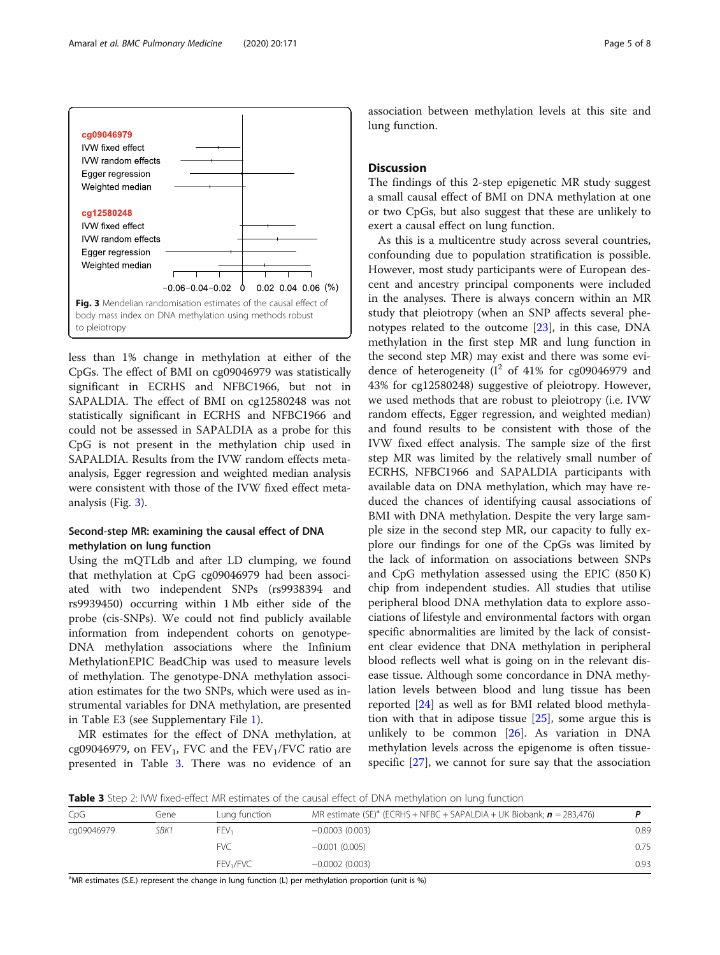

less than 1% change in methylation at either of the CpGs. The effect of BMI on cg09046979 was statistically significant in ECRHS and NFBC1966, but not in SAPALDIA. The effect of BMI on cg12580248 was not statistically significant in ECRHS and NFBC1966 and could not be assessed in SAPALDIA as a probe for this CpG is not present in the methylation chip used in SAPALDIA. Results from the IVW random effects metaanalysis, Egger regression and weighted median analysis were consistent with those of the IVW fixed effect metaanalysis (Fig. 3).

# Second-step MR: examining the causal effect of DNA methylation on lung function

Using the mQTLdb and after LD clumping, we found that methylation at CpG cg09046979 had been associated with two independent SNPs (rs9938394 and rs9939450) occurring within 1 Mb either side of the probe (cis-SNPs). We could not find publicly available information from independent cohorts on genotype-DNA methylation associations where the Infinium MethylationEPIC BeadChip was used to measure levels of methylation. The genotype-DNA methylation association estimates for the two SNPs, which were used as instrumental variables for DNA methylation, are presented in Table E3 (see Supplementary File [1](#page-5-0)).

MR estimates for the effect of DNA methylation, at cg09046979, on  $FEV_1$ , FVC and the  $FEV_1/FVC$  ratio are presented in Table 3. There was no evidence of an association between methylation levels at this site and lung function.

### **Discussion**

The findings of this 2-step epigenetic MR study suggest a small causal effect of BMI on DNA methylation at one or two CpGs, but also suggest that these are unlikely to exert a causal effect on lung function.

As this is a multicentre study across several countries, confounding due to population stratification is possible. However, most study participants were of European descent and ancestry principal components were included in the analyses. There is always concern within an MR study that pleiotropy (when an SNP affects several phenotypes related to the outcome [\[23\]](#page-7-0), in this case, DNA methylation in the first step MR and lung function in the second step MR) may exist and there was some evidence of heterogeneity  $(I^2 \text{ of } 41\% \text{ for } cg09046979 \text{ and }$ 43% for cg12580248) suggestive of pleiotropy. However, we used methods that are robust to pleiotropy (i.e. IVW random effects, Egger regression, and weighted median) and found results to be consistent with those of the IVW fixed effect analysis. The sample size of the first step MR was limited by the relatively small number of ECRHS, NFBC1966 and SAPALDIA participants with available data on DNA methylation, which may have reduced the chances of identifying causal associations of BMI with DNA methylation. Despite the very large sample size in the second step MR, our capacity to fully explore our findings for one of the CpGs was limited by the lack of information on associations between SNPs and CpG methylation assessed using the EPIC (850 K) chip from independent studies. All studies that utilise peripheral blood DNA methylation data to explore associations of lifestyle and environmental factors with organ specific abnormalities are limited by the lack of consistent clear evidence that DNA methylation in peripheral blood reflects well what is going on in the relevant disease tissue. Although some concordance in DNA methylation levels between blood and lung tissue has been reported [\[24](#page-7-0)] as well as for BMI related blood methylation with that in adipose tissue  $[25]$  $[25]$ , some argue this is unlikely to be common [[26\]](#page-7-0). As variation in DNA methylation levels across the epigenome is often tissuespecific [[27](#page-7-0)], we cannot for sure say that the association

**Table 3** Step 2: IVW fixed-effect MR estimates of the causal effect of DNA methylation on lung function

| CpG        | Gene | Lung function         | MR estimate $(SE)^a$ (ECRHS + NFBC + SAPALDIA + UK Biobank; $\boldsymbol{n} = 283,476$ ) |      |
|------------|------|-----------------------|------------------------------------------------------------------------------------------|------|
| cg09046979 | SBK1 | FEV,                  | $-0.0003(0.003)$                                                                         | 0.89 |
|            |      | <b>FVC</b>            | $-0.001(0.005)$                                                                          | 0.75 |
|            |      | FEV <sub>1</sub> /FVC | $-0.0002(0.003)$                                                                         | 0.93 |

<sup>a</sup>MR estimates (S.E.) represent the change in lung function (L) per methylation proportion (unit is %)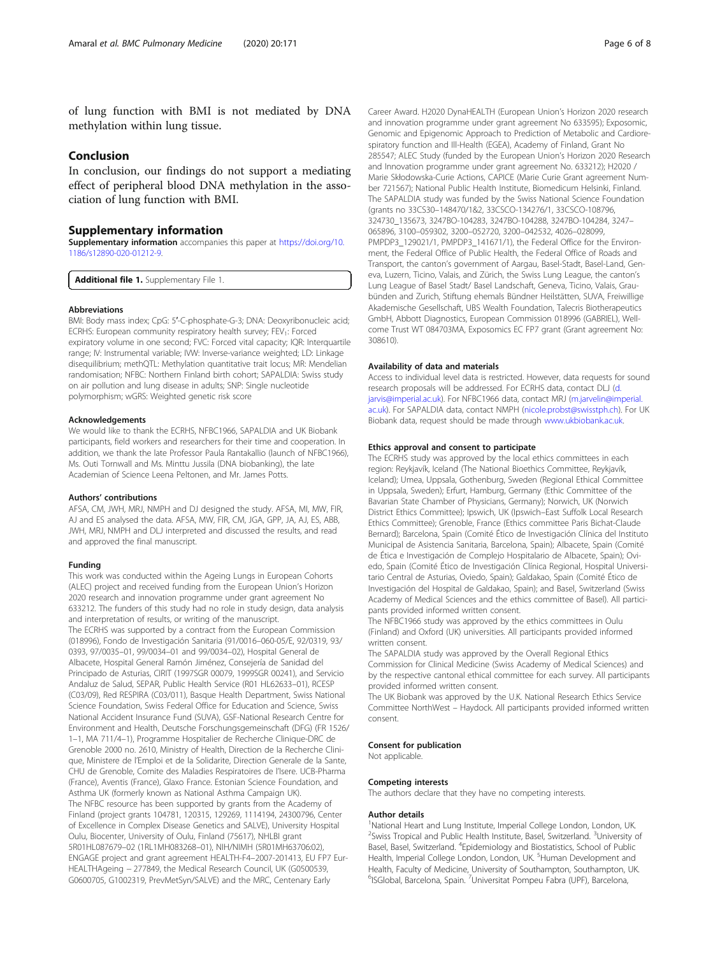<span id="page-5-0"></span>of lung function with BMI is not mediated by DNA methylation within lung tissue.

# Conclusion

In conclusion, our findings do not support a mediating effect of peripheral blood DNA methylation in the association of lung function with BMI.

### Supplementary information

Supplementary information accompanies this paper at [https://doi.org/10.](https://doi.org/10.1186/s12890-020-01212-9) [1186/s12890-020-01212-9](https://doi.org/10.1186/s12890-020-01212-9).

Additional file 1. Supplementary File 1.

#### Abbreviations

BMI: Body mass index; CpG: 5′-C-phosphate-G-3; DNA: Deoxyribonucleic acid; ECRHS: European community respiratory health survey; FEV<sub>1</sub>: Forced expiratory volume in one second; FVC: Forced vital capacity; IQR: Interquartile range; IV: Instrumental variable; IVW: Inverse-variance weighted; LD: Linkage disequilibrium; methQTL: Methylation quantitative trait locus; MR: Mendelian randomisation; NFBC: Northern Finland birth cohort; SAPALDIA: Swiss study on air pollution and lung disease in adults; SNP: Single nucleotide polymorphism; wGRS: Weighted genetic risk score

#### Acknowledgements

We would like to thank the ECRHS, NFBC1966, SAPALDIA and UK Biobank participants, field workers and researchers for their time and cooperation. In addition, we thank the late Professor Paula Rantakallio (launch of NFBC1966), Ms. Outi Tornwall and Ms. Minttu Jussila (DNA biobanking), the late Academian of Science Leena Peltonen, and Mr. James Potts.

#### Authors' contributions

AFSA, CM, JWH, MRJ, NMPH and DJ designed the study. AFSA, MI, MW, FIR, AJ and ES analysed the data. AFSA, MW, FIR, CM, JGA, GPP, JA, AJ, ES, ABB, JWH, MRJ, NMPH and DLJ interpreted and discussed the results, and read and approved the final manuscript.

#### Funding

This work was conducted within the Ageing Lungs in European Cohorts (ALEC) project and received funding from the European Union's Horizon 2020 research and innovation programme under grant agreement No 633212. The funders of this study had no role in study design, data analysis and interpretation of results, or writing of the manuscript. The ECRHS was supported by a contract from the European Commission (018996), Fondo de Investigación Sanitaria (91/0016–060-05/E, 92/0319, 93/ 0393, 97/0035–01, 99/0034–01 and 99/0034–02), Hospital General de Albacete, Hospital General Ramón Jiménez, Consejería de Sanidad del Principado de Asturias, CIRIT (1997SGR 00079, 1999SGR 00241), and Servicio Andaluz de Salud, SEPAR, Public Health Service (R01 HL62633–01), RCESP (C03/09), Red RESPIRA (C03/011), Basque Health Department, Swiss National Science Foundation, Swiss Federal Office for Education and Science, Swiss National Accident Insurance Fund (SUVA), GSF-National Research Centre for Environment and Health, Deutsche Forschungsgemeinschaft (DFG) (FR 1526/ 1–1, MA 711/4–1), Programme Hospitalier de Recherche Clinique-DRC de Grenoble 2000 no. 2610, Ministry of Health, Direction de la Recherche Clinique, Ministere de l'Emploi et de la Solidarite, Direction Generale de la Sante, CHU de Grenoble, Comite des Maladies Respiratoires de l'Isere. UCB-Pharma (France), Aventis (France), Glaxo France. Estonian Science Foundation, and Asthma UK (formerly known as National Asthma Campaign UK). The NFBC resource has been supported by grants from the Academy of Finland (project grants 104781, 120315, 129269, 1114194, 24300796, Center of Excellence in Complex Disease Genetics and SALVE), University Hospital Oulu, Biocenter, University of Oulu, Finland (75617), NHLBI grant 5R01HL087679–02 (1RL1MH083268–01), NIH/NIMH (5R01MH63706:02), ENGAGE project and grant agreement HEALTH-F4–2007-201413, EU FP7 Eur-HEALTHAgeing − 277849, the Medical Research Council, UK (G0500539, G0600705, G1002319, PrevMetSyn/SALVE) and the MRC, Centenary Early

Career Award. H2020 DynaHEALTH (European Union's Horizon 2020 research and innovation programme under grant agreement No 633595); Exposomic, Genomic and Epigenomic Approach to Prediction of Metabolic and Cardiorespiratory function and Ill-Health (EGEA), Academy of Finland, Grant No 285547; ALEC Study (funded by the European Union's Horizon 2020 Research and Innovation programme under grant agreement No. 633212); H2020 / Marie Skłodowska-Curie Actions, CAPICE (Marie Curie Grant agreement Number 721567); National Public Health Institute, Biomedicum Helsinki, Finland. The SAPALDIA study was funded by the Swiss National Science Foundation (grants no 33CS30–148470/1&2, 33CSCO-134276/1, 33CSCO-108796, 324730\_135673, 3247BO-104283, 3247BO-104288, 3247BO-104284, 3247– 065896, 3100–059302, 3200–052720, 3200–042532, 4026–028099, PMPDP3\_129021/1, PMPDP3\_141671/1), the Federal Office for the Environment, the Federal Office of Public Health, the Federal Office of Roads and Transport, the canton's government of Aargau, Basel-Stadt, Basel-Land, Geneva, Luzern, Ticino, Valais, and Zürich, the Swiss Lung League, the canton's Lung League of Basel Stadt/ Basel Landschaft, Geneva, Ticino, Valais, Graubünden and Zurich, Stiftung ehemals Bündner Heilstätten, SUVA, Freiwillige Akademische Gesellschaft, UBS Wealth Foundation, Talecris Biotherapeutics GmbH, Abbott Diagnostics, European Commission 018996 (GABRIEL), Wellcome Trust WT 084703MA, Exposomics EC FP7 grant (Grant agreement No: 308610).

#### Availability of data and materials

Access to individual level data is restricted. However, data requests for sound research proposals will be addressed. For ECRHS data, contact DLJ ([d.](mailto:d.jarvis@imperial.ac.uk) iarvis@imperial.ac.uk). For NFBC1966 data, contact MRJ ([m.jarvelin@imperial.](mailto:m.jarvelin@imperial.ac.uk) [ac.uk\)](mailto:m.jarvelin@imperial.ac.uk). For SAPALDIA data, contact NMPH ([nicole.probst@swisstph.ch\)](mailto:nicole.probst@swisstph.ch). For UK Biobank data, request should be made through [www.ukbiobank.ac.uk](http://www.ukbiobank.ac.uk).

#### Ethics approval and consent to participate

The ECRHS study was approved by the local ethics committees in each region: Reykjavík, Iceland (The National Bioethics Committee, Reykjavík, Iceland); Umea, Uppsala, Gothenburg, Sweden (Regional Ethical Committee in Uppsala, Sweden); Erfurt, Hamburg, Germany (Ethic Committee of the Bavarian State Chamber of Physicians, Germany); Norwich, UK (Norwich District Ethics Committee); Ipswich, UK (Ipswich–East Suffolk Local Research Ethics Committee); Grenoble, France (Ethics committee Paris Bichat-Claude Bernard); Barcelona, Spain (Comité Ético de Investigación Clínica del Instituto Municipal de Asistencia Sanitaria, Barcelona, Spain); Albacete, Spain (Comité de Ética e Investigación de Complejo Hospitalario de Albacete, Spain); Oviedo, Spain (Comité Ético de Investigación Clínica Regional, Hospital Universitario Central de Asturias, Oviedo, Spain); Galdakao, Spain (Comité Ético de Investigación del Hospital de Galdakao, Spain); and Basel, Switzerland (Swiss Academy of Medical Sciences and the ethics committee of Basel). All participants provided informed written consent.

The NFBC1966 study was approved by the ethics committees in Oulu (Finland) and Oxford (UK) universities. All participants provided informed written consent.

The SAPALDIA study was approved by the Overall Regional Ethics Commission for Clinical Medicine (Swiss Academy of Medical Sciences) and by the respective cantonal ethical committee for each survey. All participants provided informed written consent.

The UK Biobank was approved by the U.K. National Research Ethics Service Committee NorthWest – Haydock. All participants provided informed written consent.

#### Consent for publication

Not applicable.

#### Competing interests

The authors declare that they have no competing interests.

#### Author details

<sup>1</sup>National Heart and Lung Institute, Imperial College London, London, UK <sup>2</sup> Swiss Tropical and Public Health Institute, Basel, Switzerland. <sup>3</sup>University of Basel, Basel, Switzerland. <sup>4</sup>Epidemiology and Biostatistics, School of Public Health, Imperial College London, London, UK. <sup>5</sup>Human Development and Health, Faculty of Medicine, University of Southampton, Southampton, UK. <sup>6</sup>ISGlobal, Barcelona, Spain. <sup>7</sup>Universitat Pompeu Fabra (UPF), Barcelona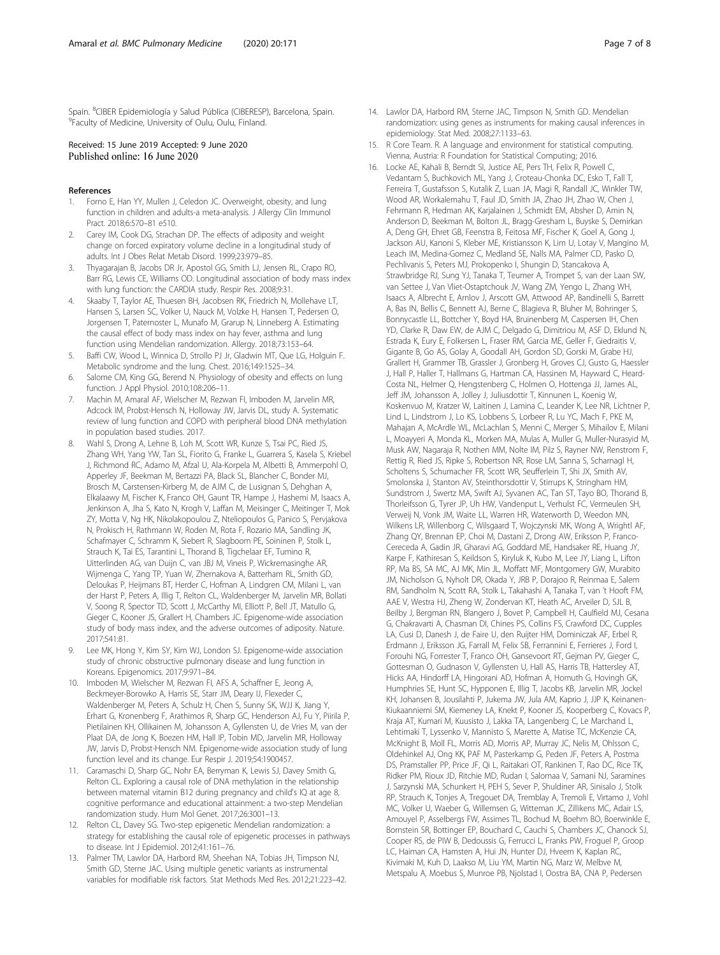<span id="page-6-0"></span>Spain. <sup>8</sup>CIBER Epidemiología y Salud Pública (CIBERESP), Barcelona, Spain.<br><sup>9</sup>Eaculty of Medicine, University of Ouly, Ouly, Einland <sup>9</sup>Faculty of Medicine, University of Oulu, Oulu, Finland.

### Received: 15 June 2019 Accepted: 9 June 2020 Published online: 16 June 2020

#### References

- 1. Forno E, Han YY, Mullen J, Celedon JC. Overweight, obesity, and lung function in children and adults-a meta-analysis. J Allergy Clin Immunol Pract. 2018;6:570–81 e510.
- Carey IM, Cook DG, Strachan DP. The effects of adiposity and weight change on forced expiratory volume decline in a longitudinal study of adults. Int J Obes Relat Metab Disord. 1999;23:979–85.
- 3. Thyagarajan B, Jacobs DR Jr, Apostol GG, Smith LJ, Jensen RL, Crapo RO, Barr RG, Lewis CE, Williams OD. Longitudinal association of body mass index with lung function: the CARDIA study. Respir Res. 2008;9:31.
- Skaaby T, Taylor AE, Thuesen BH, Jacobsen RK, Friedrich N, Mollehave LT, Hansen S, Larsen SC, Volker U, Nauck M, Volzke H, Hansen T, Pedersen O, Jorgensen T, Paternoster L, Munafo M, Grarup N, Linneberg A. Estimating the causal effect of body mass index on hay fever, asthma and lung function using Mendelian randomization. Allergy. 2018;73:153–64.
- 5. Baffi CW, Wood L, Winnica D, Strollo PJ Jr, Gladwin MT, Que LG, Holguin F. Metabolic syndrome and the lung. Chest. 2016;149:1525–34.
- 6. Salome CM, King GG, Berend N. Physiology of obesity and effects on lung function. J Appl Physiol. 2010;108:206–11.
- 7. Machin M, Amaral AF, Wielscher M, Rezwan FI, Imboden M, Jarvelin MR, Adcock IM, Probst-Hensch N, Holloway JW, Jarvis DL, study A. Systematic review of lung function and COPD with peripheral blood DNA methylation in population based studies. 2017.
- Wahl S, Drong A, Lehne B, Loh M, Scott WR, Kunze S, Tsai PC, Ried JS, Zhang WH, Yang YW, Tan SL, Fiorito G, Franke L, Guarrera S, Kasela S, Kriebel J, Richmond RC, Adamo M, Afzal U, Ala-Korpela M, Albetti B, Ammerpohl O, Apperley JF, Beekman M, Bertazzi PA, Black SL, Blancher C, Bonder MJ, Brosch M, Carstensen-Kirberg M, de AJM C, de Lusignan S, Dehghan A, Elkalaawy M, Fischer K, Franco OH, Gaunt TR, Hampe J, Hashemi M, Isaacs A, Jenkinson A, Jha S, Kato N, Krogh V, Laffan M, Meisinger C, Meitinger T, Mok ZY, Motta V, Ng HK, Nikolakopoulou Z, Nteliopoulos G, Panico S, Pervjakova N, Prokisch H, Rathmann W, Roden M, Rota F, Rozario MA, Sandling JK, Schafmayer C, Schramm K, Siebert R, Slagboom PE, Soininen P, Stolk L, Strauch K, Tai ES, Tarantini L, Thorand B, Tigchelaar EF, Tumino R, Uitterlinden AG, van Duijn C, van JBJ M, Vineis P, Wickremasinghe AR, Wijmenga C, Yang TP, Yuan W, Zhernakova A, Batterham RL, Smith GD, Deloukas P, Heijmans BT, Herder C, Hofman A, Lindgren CM, Milani L, van der Harst P, Peters A, Illig T, Relton CL, Waldenberger M, Jarvelin MR, Bollati V, Soong R, Spector TD, Scott J, McCarthy MI, Elliott P, Bell JT, Matullo G, Gieger C, Kooner JS, Grallert H, Chambers JC. Epigenome-wide association study of body mass index, and the adverse outcomes of adiposity. Nature. 2017;541:81.
- 9. Lee MK, Hong Y, Kim SY, Kim WJ, London SJ. Epigenome-wide association study of chronic obstructive pulmonary disease and lung function in Koreans. Epigenomics. 2017;9:971–84.
- 10. Imboden M, Wielscher M, Rezwan FI, AFS A, Schaffner E, Jeong A, Beckmeyer-Borowko A, Harris SE, Starr JM, Deary IJ, Flexeder C, Waldenberger M, Peters A, Schulz H, Chen S, Sunny SK, WJJ K, Jiang Y, Erhart G, Kronenberg F, Arathimos R, Sharp GC, Henderson AJ, Fu Y, Piirila P, Pietilainen KH, Ollikainen M, Johansson A, Gyllensten U, de Vries M, van der Plaat DA, de Jong K, Boezen HM, Hall IP, Tobin MD, Jarvelin MR, Holloway JW, Jarvis D, Probst-Hensch NM. Epigenome-wide association study of lung function level and its change. Eur Respir J. 2019;54:1900457.
- 11. Caramaschi D, Sharp GC, Nohr EA, Berryman K, Lewis SJ, Davey Smith G, Relton CL. Exploring a causal role of DNA methylation in the relationship between maternal vitamin B12 during pregnancy and child's IQ at age 8, cognitive performance and educational attainment: a two-step Mendelian randomization study. Hum Mol Genet. 2017;26:3001–13.
- 12. Relton CL, Davey SG. Two-step epigenetic Mendelian randomization: a strategy for establishing the causal role of epigenetic processes in pathways to disease. Int J Epidemiol. 2012;41:161–76.
- 13. Palmer TM, Lawlor DA, Harbord RM, Sheehan NA, Tobias JH, Timpson NJ, Smith GD, Sterne JAC. Using multiple genetic variants as instrumental variables for modifiable risk factors. Stat Methods Med Res. 2012;21:223–42.
- 14. Lawlor DA, Harbord RM, Sterne JAC, Timpson N, Smith GD. Mendelian randomization: using genes as instruments for making causal inferences in epidemiology. Stat Med. 2008;27:1133–63.
- 15. R Core Team. R. A language and environment for statistical computing. Vienna, Austria: R Foundation for Statistical Computing; 2016.
- 16. Locke AE, Kahali B, Berndt SI, Justice AE, Pers TH, Felix R, Powell C, Vedantam S, Buchkovich ML, Yang J, Croteau-Chonka DC, Esko T, Fall T, Ferreira T, Gustafsson S, Kutalik Z, Luan JA, Magi R, Randall JC, Winkler TW, Wood AR, Workalemahu T, Faul JD, Smith JA, Zhao JH, Zhao W, Chen J, Fehrmann R, Hedman AK, Karjalainen J, Schmidt EM, Absher D, Amin N, Anderson D, Beekman M, Bolton JL, Bragg-Gresham L, Buyske S, Demirkan A, Deng GH, Ehret GB, Feenstra B, Feitosa MF, Fischer K, Goel A, Gong J, Jackson AU, Kanoni S, Kleber ME, Kristiansson K, Lim U, Lotay V, Mangino M, Leach IM, Medina-Gomez C, Medland SE, Nalls MA, Palmer CD, Pasko D, Pechlivanis S, Peters MJ, Prokopenko I, Shungin D, Stancakova A, Strawbridge RJ, Sung YJ, Tanaka T, Teumer A, Trompet S, van der Laan SW, van Settee J, Van Vliet-Ostaptchouk JV, Wang ZM, Yengo L, Zhang WH, Isaacs A, Albrecht E, Arnlov J, Arscott GM, Attwood AP, Bandinelli S, Barrett A, Bas IN, Bellis C, Bennett AJ, Berne C, Blagieva R, Bluher M, Bohringer S, Bonnycastle LL, Bottcher Y, Boyd HA, Bruinenberg M, Caspersen IH, Chen YD, Clarke R, Daw EW, de AJM C, Delgado G, Dimitriou M, ASF D, Eklund N, Estrada K, Eury E, Folkersen L, Fraser RM, Garcia ME, Geller F, Giedraitis V, Gigante B, Go AS, Golay A, Goodall AH, Gordon SD, Gorski M, Grabe HJ, Grallert H, Grammer TB, Grassler J, Gronberg H, Groves CJ, Gusto G, Haessler J, Hall P, Haller T, Hallmans G, Hartman CA, Hassinen M, Hayward C, Heard-Costa NL, Helmer Q, Hengstenberg C, Holmen O, Hottenga JJ, James AL, Jeff JM, Johansson A, Jolley J, Juliusdottir T, Kinnunen L, Koenig W, Koskenvuo M, Kratzer W, Laitinen J, Lamina C, Leander K, Lee NR, Lichtner P, Lind L, Lindstrom J, Lo KS, Lobbens S, Lorbeer R, Lu YC, Mach F, PKE M, Mahajan A, McArdle WL, McLachlan S, Menni C, Merger S, Mihailov E, Milani L, Moayyeri A, Monda KL, Morken MA, Mulas A, Muller G, Muller-Nurasyid M, Musk AW, Nagaraja R, Nothen MM, Nolte IM, Pilz S, Rayner NW, Renstrom F, Rettig R, Ried JS, Ripke S, Robertson NR, Rose LM, Sanna S, Scharnagl H, Scholtens S, Schumacher FR, Scott WR, Seufferlein T, Shi JX, Smith AV, Smolonska J, Stanton AV, Steinthorsdottir V, Stirrups K, Stringham HM, Sundstrom J, Swertz MA, Swift AJ, Syvanen AC, Tan ST, Tayo BO, Thorand B, Thorleifsson G, Tyrer JP, Uh HW, Vandenput L, Verhulst FC, Vermeulen SH, Verweij N, Vonk JM, Waite LL, Warren HR, Waterworth D, Weedon MN, Wilkens LR, Willenborg C, Wilsgaard T, Wojczynski MK, Wong A, Wrightl AF, Zhang QY, Brennan EP, Choi M, Dastani Z, Drong AW, Eriksson P, Franco-Cereceda A, Gadin JR, Gharavi AG, Goddard ME, Handsaker RE, Huang JY, Karpe F, Kathiresan S, Keildson S, Kiryluk K, Kubo M, Lee JY, Liang L, Lifton RP, Ma BS, SA MC, AJ MK, Min JL, Moffatt MF, Montgomery GW, Murabito JM, Nicholson G, Nyholt DR, Okada Y, JRB P, Dorajoo R, Reinmaa E, Salem RM, Sandholm N, Scott RA, Stolk L, Takahashi A, Tanaka T, van 't Hooft FM, AAE V, Westra HJ, Zheng W, Zondervan KT, Heath AC, Arveiler D, SJL B, Beilby J, Bergman RN, Blangero J, Bovet P, Campbell H, Caulfield MJ, Cesana G, Chakravarti A, Chasman DI, Chines PS, Collins FS, Crawford DC, Cupples LA, Cusi D, Danesh J, de Faire U, den Ruijter HM, Dominiczak AF, Erbel R, Erdmann J, Eriksson JG, Farrall M, Felix SB, Ferrannini E, Ferrieres J, Ford I, Forouhi NG, Forrester T, Franco OH, Gansevoort RT, Gejman PV, Gieger C, Gottesman O, Gudnason V, Gyllensten U, Hall AS, Harris TB, Hattersley AT, Hicks AA, Hindorff LA, Hingorani AD, Hofman A, Homuth G, Hovingh GK, Humphries SE, Hunt SC, Hypponen E, Illig T, Jacobs KB, Jarvelin MR, Jockel KH, Johansen B, Jousilahti P, Jukema JW, Jula AM, Kaprio J, JJP K, Keinanen-Kiukaanniemi SM, Kiemeney LA, Knekt P, Kooner JS, Kooperberg C, Kovacs P, Kraja AT, Kumari M, Kuusisto J, Lakka TA, Langenberg C, Le Marchand L, Lehtimaki T, Lyssenko V, Mannisto S, Marette A, Matise TC, McKenzie CA, McKnight B, Moll FL, Morris AD, Morris AP, Murray JC, Nelis M, Ohlsson C, Oldehinkel AJ, Ong KK, PAF M, Pasterkamp G, Peden JF, Peters A, Postma DS, Pramstaller PP, Price JF, Qi L, Raitakari OT, Rankinen T, Rao DC, Rice TK, Ridker PM, Rioux JD, Ritchie MD, Rudan I, Salomaa V, Samani NJ, Saramines J, Sarzynski MA, Schunkert H, PEH S, Sever P, Shuldiner AR, Sinisalo J, Stolk RP, Strauch K, Tonjes A, Tregouet DA, Tremblay A, Tremoli E, Virtamo J, Vohl MC, Volker U, Waeber G, Willemsen G, Witteman JC, Zillikens MC, Adair LS, Amouyel P, Asselbergs FW, Assimes TL, Bochud M, Boehm BO, Boerwinkle E, Bornstein SR, Bottinger EP, Bouchard C, Cauchi S, Chambers JC, Chanock SJ, Cooper RS, de PIW B, Dedoussis G, Ferrucci L, Franks PW, Froguel P, Groop LC, Haiman CA, Hamsten A, Hui JN, Hunter DJ, Hveem K, Kaplan RC, Kivimaki M, Kuh D, Laakso M, Liu YM, Martin NG, Marz W, Melbve M, Metspalu A, Moebus S, Munroe PB, Njolstad I, Oostra BA, CNA P, Pedersen